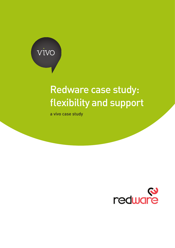

# Redware case study: flexibility and support

a vivo case study

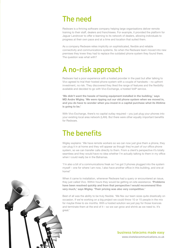#### The need

Redware is a thriving software company helping large organisations deliver remote training to their staff, dealers and franchisees. For example, it provided the platform for Jaguar Landrover to offer e-learning to its network of dealers, allowing individuals to progress at their own pace and at a time and location that suited them.

As a company Redware relies implicitly on sophisticated, flexible and reliable connectivity and communications systems. So when the Redware team moved into new premises they knew they had to replace the outdated phone system they found there. The question was what with?

### A no-risk approach

Redware had a poor experience with a hosted provider in the past but after talking to Vivo agreed to trial their hosted phone system with a couple of handsets – no upfront investment, no risk. They discovered they liked the range of features and the flexibility available and decided to go with Vivo Exchange, a hosted VoIP service.

**'We didn't want the hassle of having equipment installed in the building,' says MD Andre Wigley. 'We were ripping out our old phone system when we moved in, and you do have to wonder when you invest in a capital purchase what its lifetime is going to be.'**

With Vivo Exchange, there's no capital outlay required – you just plug your phones into your existing local area network (LAN). But there were other equally important benefits for Redware.

### The benefits

Wigley explains: 'We have remote workers so we can now just give them a phone, they can plug it in at home and they will appear as though they're part of our office phone system, so we can transfer calls directly to them. From a client's perspective it's totally seamless and they would have no idea whether I'm actually talking to them in my office when I could really be in the Bahamas.

'I'm also a bit of a communications freak so I've got 3 phones plugged into the system myself – one for where I am now, I also have another office in this building, and one at home!'

When it came to installation, whenever Redware had a query or encountered an issue, they just called Vivo. Within hours they would be getting on-site assistance. **'Problems have been resolved quickly and from that perspective I would recommend Vivo very much,' says Wigley. 'Their pricing was also very competitive.'**

Best of all was the ability to be truly flexible. 'We flex our team sizes quite drastically on occasion. If we're working on a big project we could throw 10 or 15 people in the mix for maybe three to six months. With a hosted solution we just pay for those licences and terminate them at the end of it – so we can grow and shrink as we need to. It's great.'



www.vivotelecommunications.co.uk business telecoms made easy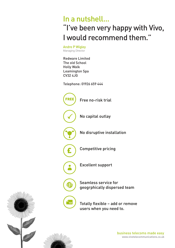# In a nutshell… "I've been very happy with Vivo, I would recommend them."

Andre P Wigley Managing Director

Redware Limited The old School Holly Walk Leamington Spa CV32 4JG

£

123

FREE

Telephone: 01926 659 444

Free no-risk trial No capital outlay No disruptive installation

Competitive pricing

Excellent support

Seamless service for geogrphically dispersed team

Totally flexible – add or remove users when you need to.



www.vivotelecommunications.co.uk business telecoms made easy